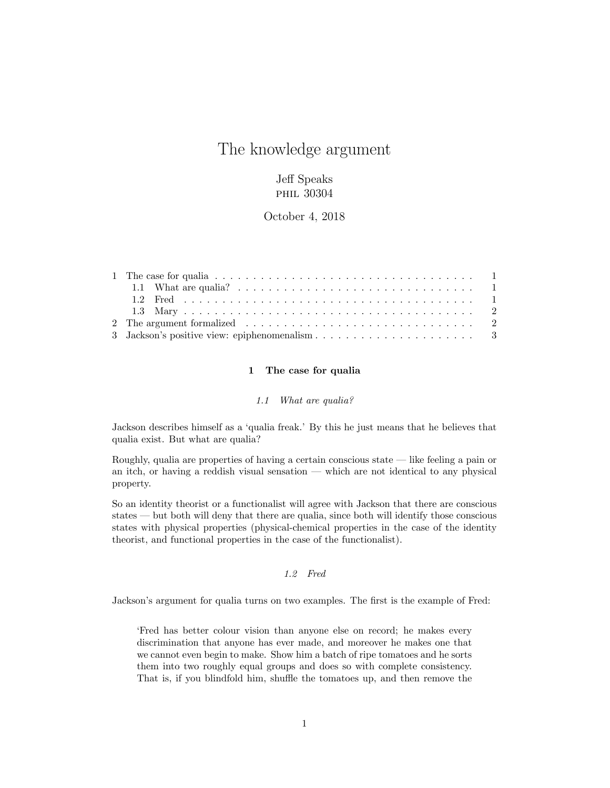# The knowledge argument

## Jeff Speaks PHIL 30304

October 4, 2018

## 1 The case for qualia

#### *1.1 What are qualia?*

<span id="page-0-1"></span><span id="page-0-0"></span>Jackson describes himself as a 'qualia freak.' By this he just means that he believes that qualia exist. But what are qualia?

Roughly, qualia are properties of having a certain conscious state — like feeling a pain or an itch, or having a reddish visual sensation — which are not identical to any physical property.

So an identity theorist or a functionalist will agree with Jackson that there are conscious states — but both will deny that there are qualia, since both will identify those conscious states with physical properties (physical-chemical properties in the case of the identity theorist, and functional properties in the case of the functionalist).

## *1.2 Fred*

<span id="page-0-2"></span>Jackson's argument for qualia turns on two examples. The first is the example of Fred:

'Fred has better colour vision than anyone else on record; he makes every discrimination that anyone has ever made, and moreover he makes one that we cannot even begin to make. Show him a batch of ripe tomatoes and he sorts them into two roughly equal groups and does so with complete consistency. That is, if you blindfold him, shuffle the tomatoes up, and then remove the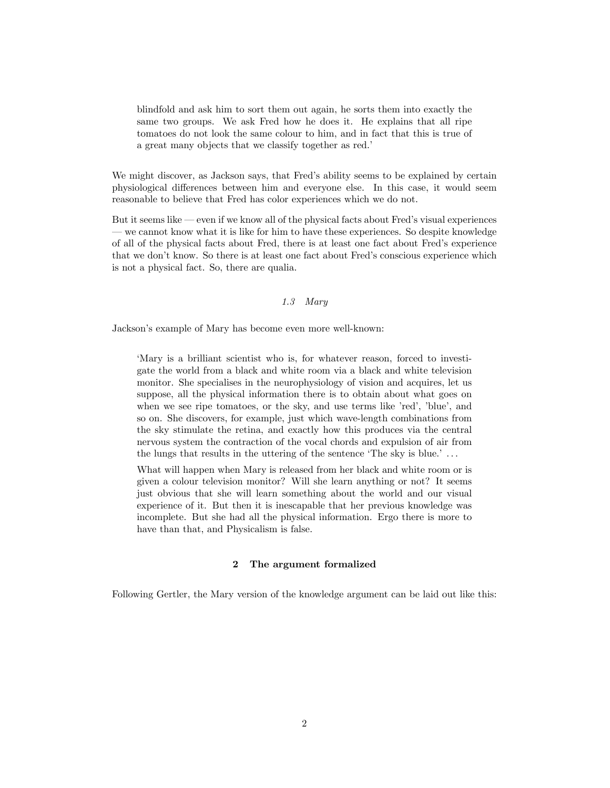blindfold and ask him to sort them out again, he sorts them into exactly the same two groups. We ask Fred how he does it. He explains that all ripe tomatoes do not look the same colour to him, and in fact that this is true of a great many objects that we classify together as red.'

We might discover, as Jackson says, that Fred's ability seems to be explained by certain physiological differences between him and everyone else. In this case, it would seem reasonable to believe that Fred has color experiences which we do not.

But it seems like — even if we know all of the physical facts about Fred's visual experiences — we cannot know what it is like for him to have these experiences. So despite knowledge of all of the physical facts about Fred, there is at least one fact about Fred's experience that we don't know. So there is at least one fact about Fred's conscious experience which is not a physical fact. So, there are qualia.

## *1.3 Mary*

<span id="page-1-0"></span>Jackson's example of Mary has become even more well-known:

'Mary is a brilliant scientist who is, for whatever reason, forced to investigate the world from a black and white room via a black and white television monitor. She specialises in the neurophysiology of vision and acquires, let us suppose, all the physical information there is to obtain about what goes on when we see ripe tomatoes, or the sky, and use terms like 'red', 'blue', and so on. She discovers, for example, just which wave-length combinations from the sky stimulate the retina, and exactly how this produces via the central nervous system the contraction of the vocal chords and expulsion of air from the lungs that results in the uttering of the sentence 'The sky is blue.' . . .

What will happen when Mary is released from her black and white room or is given a colour television monitor? Will she learn anything or not? It seems just obvious that she will learn something about the world and our visual experience of it. But then it is inescapable that her previous knowledge was incomplete. But she had all the physical information. Ergo there is more to have than that, and Physicalism is false.

## 2 The argument formalized

<span id="page-1-1"></span>Following Gertler, the Mary version of the knowledge argument can be laid out like this: